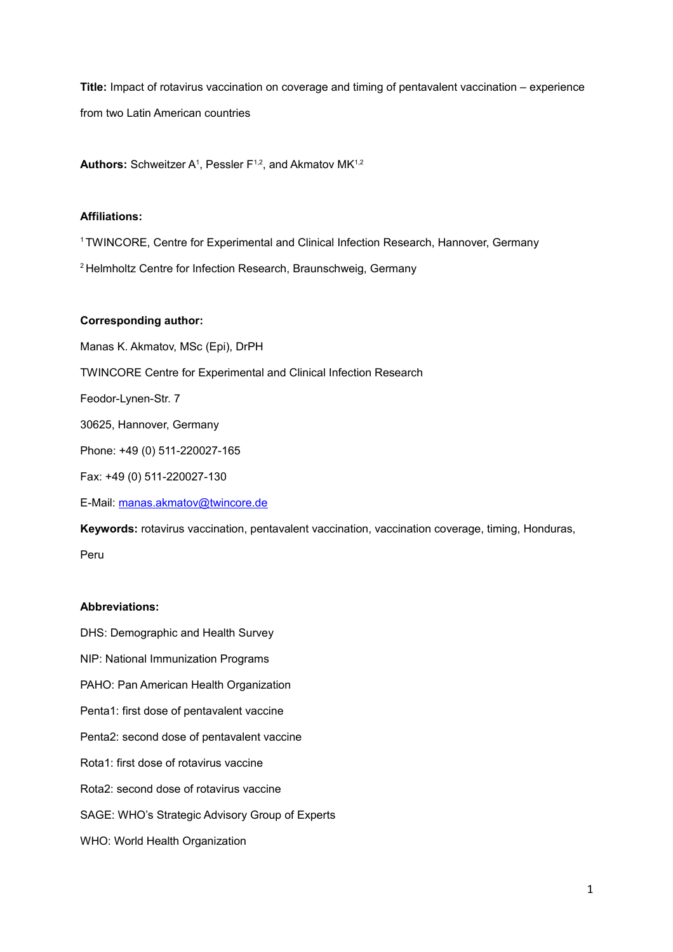**Title:** Impact of rotavirus vaccination on coverage and timing of pentavalent vaccination – experience from two Latin American countries

**Authors:** Schweitzer A<sup>1</sup>, Pessler F<sup>1,2</sup>, and Akmatov MK<sup>1,2</sup>

# **Affiliations:**

<sup>1</sup>TWINCORE, Centre for Experimental and Clinical Infection Research, Hannover, Germany

<sup>2</sup> Helmholtz Centre for Infection Research, Braunschweig, Germany

# **Corresponding author:**

Manas K. Akmatov, MSc (Epi), DrPH TWINCORE Centre for Experimental and Clinical Infection Research Feodor-Lynen-Str. 7 30625, Hannover, Germany Phone: +49 (0) 511-220027-165 Fax: +49 (0) 511-220027-130 E-Mail: [manas.akmatov@twincore.de](mailto:manas.akmatov@twincore.de) **Keywords:** rotavirus vaccination, pentavalent vaccination, vaccination coverage, timing, Honduras,

Peru

# **Abbreviations:**

DHS: Demographic and Health Survey NIP: National Immunization Programs PAHO: Pan American Health Organization Penta1: first dose of pentavalent vaccine Penta2: second dose of pentavalent vaccine Rota1: first dose of rotavirus vaccine Rota2: second dose of rotavirus vaccine SAGE: WHO's Strategic Advisory Group of Experts WHO: World Health Organization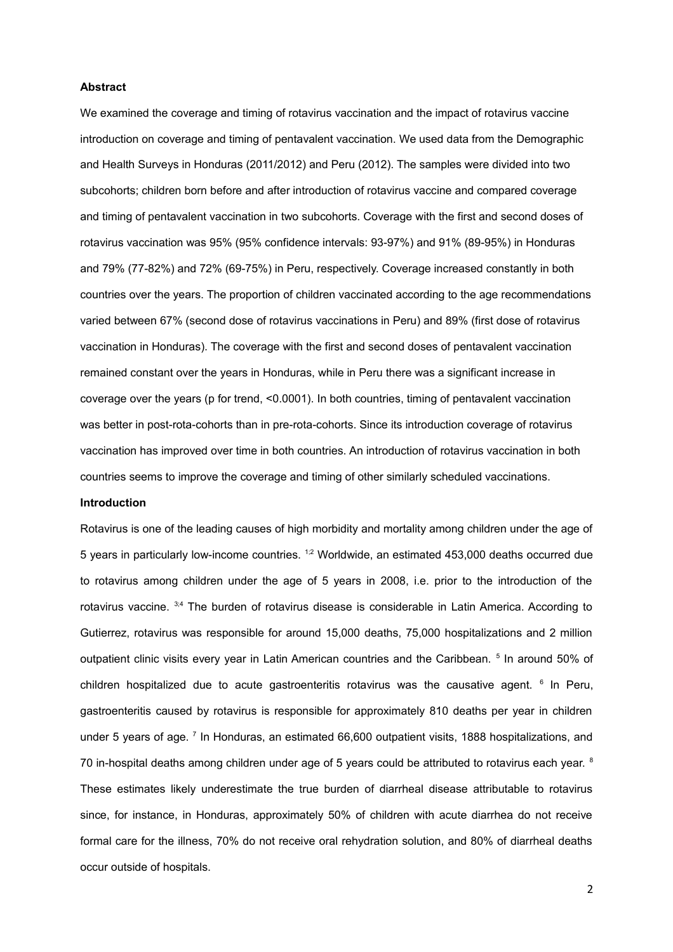#### **Abstract**

We examined the coverage and timing of rotavirus vaccination and the impact of rotavirus vaccine introduction on coverage and timing of pentavalent vaccination. We used data from the Demographic and Health Surveys in Honduras (2011/2012) and Peru (2012). The samples were divided into two subcohorts; children born before and after introduction of rotavirus vaccine and compared coverage and timing of pentavalent vaccination in two subcohorts. Coverage with the first and second doses of rotavirus vaccination was 95% (95% confidence intervals: 93-97%) and 91% (89-95%) in Honduras and 79% (77-82%) and 72% (69-75%) in Peru, respectively. Coverage increased constantly in both countries over the years. The proportion of children vaccinated according to the age recommendations varied between 67% (second dose of rotavirus vaccinations in Peru) and 89% (first dose of rotavirus vaccination in Honduras). The coverage with the first and second doses of pentavalent vaccination remained constant over the years in Honduras, while in Peru there was a significant increase in coverage over the years (p for trend, <0.0001). In both countries, timing of pentavalent vaccination was better in post-rota-cohorts than in pre-rota-cohorts. Since its introduction coverage of rotavirus vaccination has improved over time in both countries. An introduction of rotavirus vaccination in both countries seems to improve the coverage and timing of other similarly scheduled vaccinations.

#### **Introduction**

Rotavirus is one of the leading causes of high morbidity and mortality among children under the age of 5 vears in particularly low-income countries. <sup>1;2</sup> Worldwide, an estimated 453,000 deaths occurred due to rotavirus among children under the age of 5 years in 2008, i.e. prior to the introduction of the rotavirus vaccine. 3;4 The burden of rotavirus disease is considerable in Latin America. According to Gutierrez, rotavirus was responsible for around 15,000 deaths, 75,000 hospitalizations and 2 million outpatient clinic visits every year in Latin American countries and the Caribbean. <sup>5</sup> In around 50% of children hospitalized due to acute gastroenteritis rotavirus was the causative agent. <sup>6</sup> In Peru, gastroenteritis caused by rotavirus is responsible for approximately 810 deaths per year in children under 5 years of age. <sup>7</sup> In Honduras, an estimated 66,600 outpatient visits, 1888 hospitalizations, and 70 in-hospital deaths among children under age of 5 years could be attributed to rotavirus each year. 8 These estimates likely underestimate the true burden of diarrheal disease attributable to rotavirus since, for instance, in Honduras, approximately 50% of children with acute diarrhea do not receive formal care for the illness, 70% do not receive oral rehydration solution, and 80% of diarrheal deaths occur outside of hospitals.

2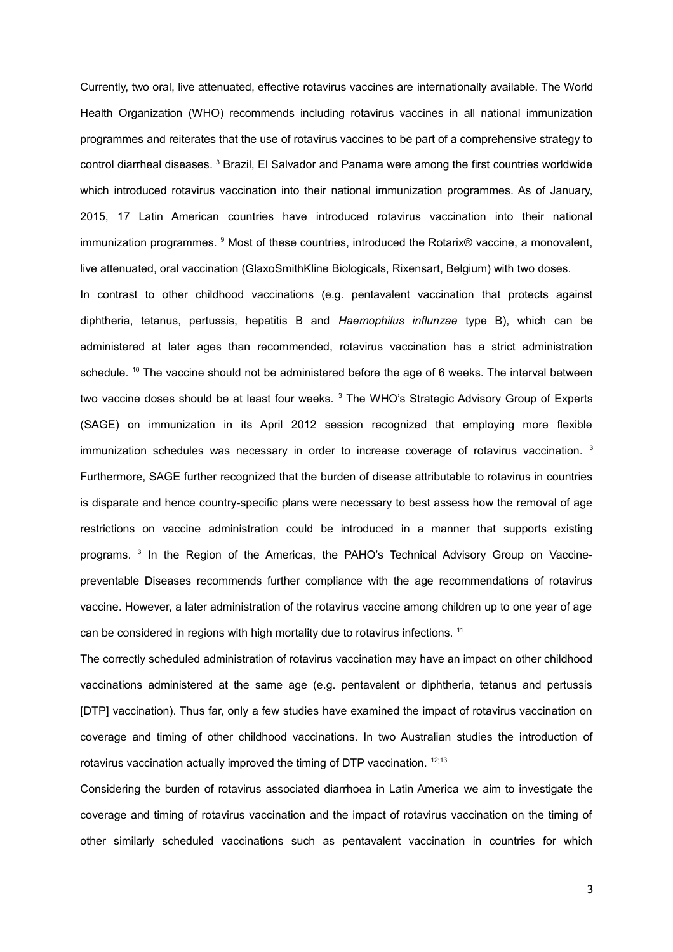Currently, two oral, live attenuated, effective rotavirus vaccines are internationally available. The World Health Organization (WHO) recommends including rotavirus vaccines in all national immunization programmes and reiterates that the use of rotavirus vaccines to be part of a comprehensive strategy to control diarrheal diseases. <sup>3</sup> Brazil, El Salvador and Panama were among the first countries worldwide which introduced rotavirus vaccination into their national immunization programmes. As of January, 2015, 17 Latin American countries have introduced rotavirus vaccination into their national immunization programmes. <sup>9</sup> Most of these countries, introduced the Rotarix® vaccine, a monovalent, live attenuated, oral vaccination (GlaxoSmithKline Biologicals, Rixensart, Belgium) with two doses.

In contrast to other childhood vaccinations (e.g. pentavalent vaccination that protects against diphtheria, tetanus, pertussis, hepatitis B and *Haemophilus influnzae* type B), which can be administered at later ages than recommended, rotavirus vaccination has a strict administration schedule. <sup>10</sup> The vaccine should not be administered before the age of 6 weeks. The interval between two vaccine doses should be at least four weeks. <sup>3</sup> The WHO's Strategic Advisory Group of Experts (SAGE) on immunization in its April 2012 session recognized that employing more flexible immunization schedules was necessary in order to increase coverage of rotavirus vaccination.<sup>3</sup> Furthermore, SAGE further recognized that the burden of disease attributable to rotavirus in countries is disparate and hence country-specific plans were necessary to best assess how the removal of age restrictions on vaccine administration could be introduced in a manner that supports existing programs.<sup>3</sup> In the Region of the Americas, the PAHO's Technical Advisory Group on Vaccinepreventable Diseases recommends further compliance with the age recommendations of rotavirus vaccine. However, a later administration of the rotavirus vaccine among children up to one year of age can be considered in regions with high mortality due to rotavirus infections.<sup>11</sup>

The correctly scheduled administration of rotavirus vaccination may have an impact on other childhood vaccinations administered at the same age (e.g. pentavalent or diphtheria, tetanus and pertussis [DTP] vaccination). Thus far, only a few studies have examined the impact of rotavirus vaccination on coverage and timing of other childhood vaccinations. In two Australian studies the introduction of rotavirus vaccination actually improved the timing of DTP vaccination. 12;13

Considering the burden of rotavirus associated diarrhoea in Latin America we aim to investigate the coverage and timing of rotavirus vaccination and the impact of rotavirus vaccination on the timing of other similarly scheduled vaccinations such as pentavalent vaccination in countries for which

3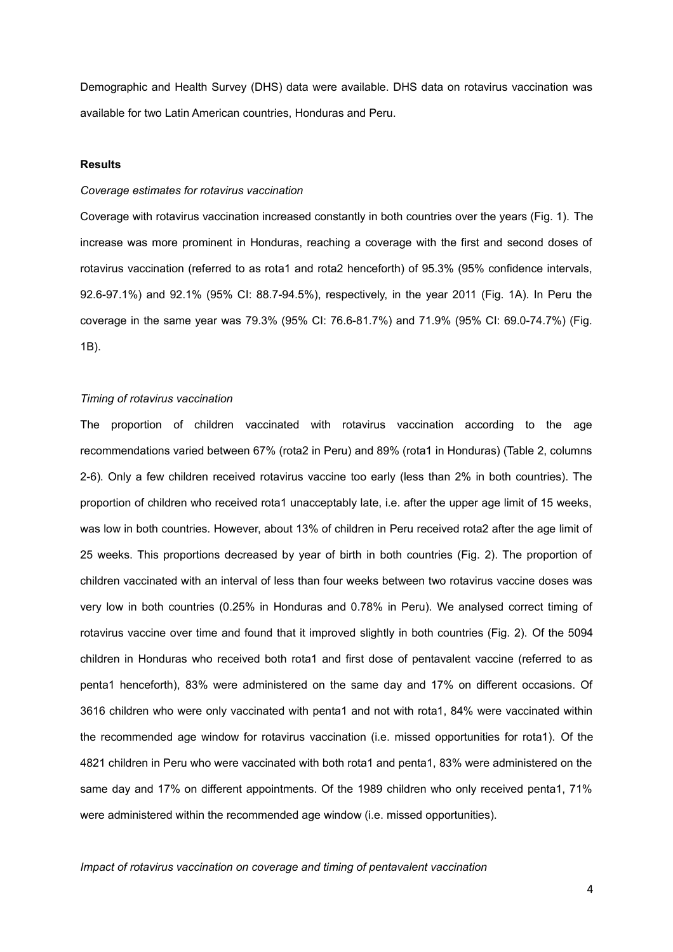Demographic and Health Survey (DHS) data were available. DHS data on rotavirus vaccination was available for two Latin American countries, Honduras and Peru.

#### **Results**

#### *Coverage estimates for rotavirus vaccination*

Coverage with rotavirus vaccination increased constantly in both countries over the years (Fig. 1). The increase was more prominent in Honduras, reaching a coverage with the first and second doses of rotavirus vaccination (referred to as rota1 and rota2 henceforth) of 95.3% (95% confidence intervals, 92.6-97.1%) and 92.1% (95% CI: 88.7-94.5%), respectively, in the year 2011 (Fig. 1A). In Peru the coverage in the same year was 79.3% (95% CI: 76.6-81.7%) and 71.9% (95% CI: 69.0-74.7%) (Fig. 1B).

#### *Timing of rotavirus vaccination*

The proportion of children vaccinated with rotavirus vaccination according to the age recommendations varied between 67% (rota2 in Peru) and 89% (rota1 in Honduras) (Table 2, columns 2-6). Only a few children received rotavirus vaccine too early (less than 2% in both countries). The proportion of children who received rota1 unacceptably late, i.e. after the upper age limit of 15 weeks, was low in both countries. However, about 13% of children in Peru received rota2 after the age limit of 25 weeks. This proportions decreased by year of birth in both countries (Fig. 2). The proportion of children vaccinated with an interval of less than four weeks between two rotavirus vaccine doses was very low in both countries (0.25% in Honduras and 0.78% in Peru). We analysed correct timing of rotavirus vaccine over time and found that it improved slightly in both countries (Fig. 2). Of the 5094 children in Honduras who received both rota1 and first dose of pentavalent vaccine (referred to as penta1 henceforth), 83% were administered on the same day and 17% on different occasions. Of 3616 children who were only vaccinated with penta1 and not with rota1, 84% were vaccinated within the recommended age window for rotavirus vaccination (i.e. missed opportunities for rota1). Of the 4821 children in Peru who were vaccinated with both rota1 and penta1, 83% were administered on the same day and 17% on different appointments. Of the 1989 children who only received penta1, 71% were administered within the recommended age window (i.e. missed opportunities).

#### *Impact of rotavirus vaccination on coverage and timing of pentavalent vaccination*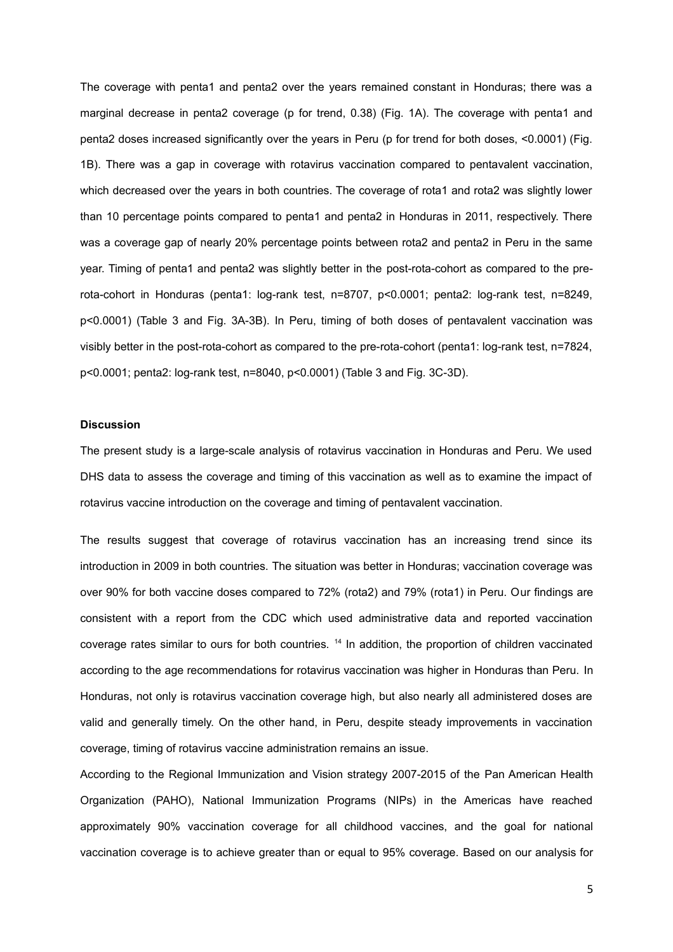The coverage with penta1 and penta2 over the years remained constant in Honduras; there was a marginal decrease in penta2 coverage (p for trend, 0.38) (Fig. 1A). The coverage with penta1 and penta2 doses increased significantly over the years in Peru (p for trend for both doses, <0.0001) (Fig. 1B). There was a gap in coverage with rotavirus vaccination compared to pentavalent vaccination, which decreased over the years in both countries. The coverage of rota1 and rota2 was slightly lower than 10 percentage points compared to penta1 and penta2 in Honduras in 2011, respectively. There was a coverage gap of nearly 20% percentage points between rota2 and penta2 in Peru in the same year. Timing of penta1 and penta2 was slightly better in the post-rota-cohort as compared to the prerota-cohort in Honduras (penta1: log-rank test, n=8707, p<0.0001; penta2: log-rank test, n=8249, p<0.0001) (Table 3 and Fig. 3A-3B). In Peru, timing of both doses of pentavalent vaccination was visibly better in the post-rota-cohort as compared to the pre-rota-cohort (penta1: log-rank test, n=7824, p<0.0001; penta2: log-rank test, n=8040, p<0.0001) (Table 3 and Fig. 3C-3D).

#### **Discussion**

The present study is a large-scale analysis of rotavirus vaccination in Honduras and Peru. We used DHS data to assess the coverage and timing of this vaccination as well as to examine the impact of rotavirus vaccine introduction on the coverage and timing of pentavalent vaccination.

The results suggest that coverage of rotavirus vaccination has an increasing trend since its introduction in 2009 in both countries. The situation was better in Honduras; vaccination coverage was over 90% for both vaccine doses compared to 72% (rota2) and 79% (rota1) in Peru. Our findings are consistent with a report from the CDC which used administrative data and reported vaccination coverage rates similar to ours for both countries.<sup>14</sup> In addition, the proportion of children vaccinated according to the age recommendations for rotavirus vaccination was higher in Honduras than Peru. In Honduras, not only is rotavirus vaccination coverage high, but also nearly all administered doses are valid and generally timely. On the other hand, in Peru, despite steady improvements in vaccination coverage, timing of rotavirus vaccine administration remains an issue.

According to the Regional Immunization and Vision strategy 2007-2015 of the Pan American Health Organization (PAHO), National Immunization Programs (NIPs) in the Americas have reached approximately 90% vaccination coverage for all childhood vaccines, and the goal for national vaccination coverage is to achieve greater than or equal to 95% coverage. Based on our analysis for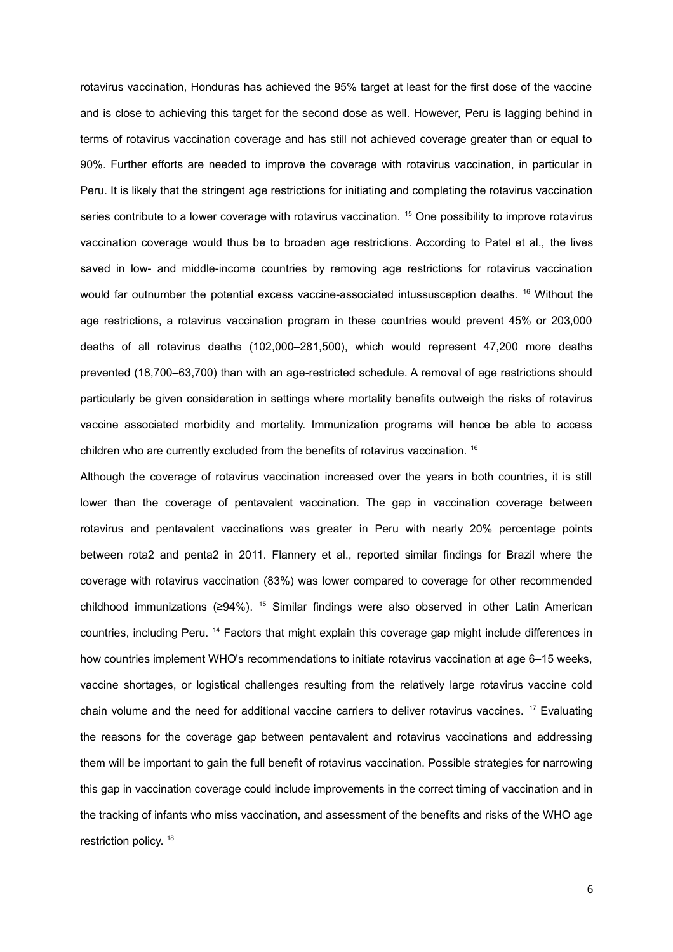rotavirus vaccination, Honduras has achieved the 95% target at least for the first dose of the vaccine and is close to achieving this target for the second dose as well. However, Peru is lagging behind in terms of rotavirus vaccination coverage and has still not achieved coverage greater than or equal to 90%. Further efforts are needed to improve the coverage with rotavirus vaccination, in particular in Peru. It is likely that the stringent age restrictions for initiating and completing the rotavirus vaccination series contribute to a lower coverage with rotavirus vaccination. <sup>15</sup> One possibility to improve rotavirus vaccination coverage would thus be to broaden age restrictions. According to Patel et al., the lives saved in low- and middle-income countries by removing age restrictions for rotavirus vaccination would far outnumber the potential excess vaccine-associated intussusception deaths. <sup>16</sup> Without the age restrictions, a rotavirus vaccination program in these countries would prevent 45% or 203,000 deaths of all rotavirus deaths (102,000–281,500), which would represent 47,200 more deaths prevented (18,700–63,700) than with an age-restricted schedule. A removal of age restrictions should particularly be given consideration in settings where mortality benefits outweigh the risks of rotavirus vaccine associated morbidity and mortality. Immunization programs will hence be able to access children who are currently excluded from the benefits of rotavirus vaccination. <sup>16</sup>

Although the coverage of rotavirus vaccination increased over the years in both countries, it is still lower than the coverage of pentavalent vaccination. The gap in vaccination coverage between rotavirus and pentavalent vaccinations was greater in Peru with nearly 20% percentage points between rota2 and penta2 in 2011. Flannery et al., reported similar findings for Brazil where the coverage with rotavirus vaccination (83%) was lower compared to coverage for other recommended childhood immunizations (≥94%). <sup>15</sup> Similar findings were also observed in other Latin American countries, including Peru. <sup>14</sup> Factors that might explain this coverage gap might include differences in how countries implement WHO's recommendations to initiate rotavirus vaccination at age 6–15 weeks, vaccine shortages, or logistical challenges resulting from the relatively large rotavirus vaccine cold chain volume and the need for additional vaccine carriers to deliver rotavirus vaccines. <sup>17</sup> Evaluating the reasons for the coverage gap between pentavalent and rotavirus vaccinations and addressing them will be important to gain the full benefit of rotavirus vaccination. Possible strategies for narrowing this gap in vaccination coverage could include improvements in the correct timing of vaccination and in the tracking of infants who miss vaccination, and assessment of the benefits and risks of the WHO age restriction policy.<sup>18</sup>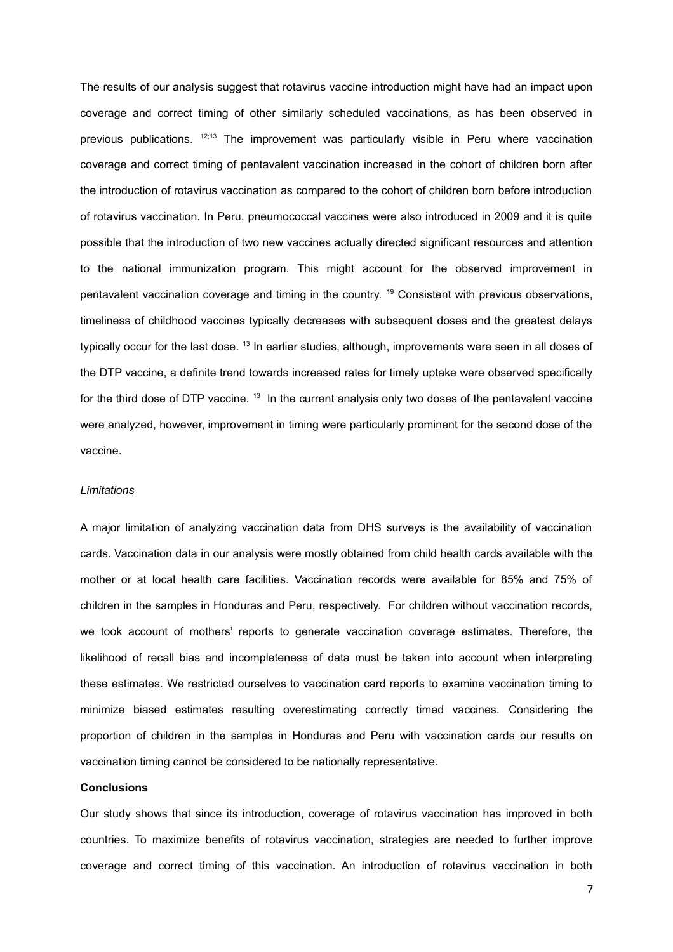The results of our analysis suggest that rotavirus vaccine introduction might have had an impact upon coverage and correct timing of other similarly scheduled vaccinations, as has been observed in previous publications.  $12;13$  The improvement was particularly visible in Peru where vaccination coverage and correct timing of pentavalent vaccination increased in the cohort of children born after the introduction of rotavirus vaccination as compared to the cohort of children born before introduction of rotavirus vaccination. In Peru, pneumococcal vaccines were also introduced in 2009 and it is quite possible that the introduction of two new vaccines actually directed significant resources and attention to the national immunization program. This might account for the observed improvement in pentavalent vaccination coverage and timing in the country. <sup>19</sup> Consistent with previous observations, timeliness of childhood vaccines typically decreases with subsequent doses and the greatest delays typically occur for the last dose. <sup>13</sup> In earlier studies, although, improvements were seen in all doses of the DTP vaccine, a definite trend towards increased rates for timely uptake were observed specifically for the third dose of DTP vaccine. <sup>13</sup> In the current analysis only two doses of the pentavalent vaccine were analyzed, however, improvement in timing were particularly prominent for the second dose of the vaccine.

### *Limitations*

A major limitation of analyzing vaccination data from DHS surveys is the availability of vaccination cards. Vaccination data in our analysis were mostly obtained from child health cards available with the mother or at local health care facilities. Vaccination records were available for 85% and 75% of children in the samples in Honduras and Peru, respectively. For children without vaccination records, we took account of mothers' reports to generate vaccination coverage estimates. Therefore, the likelihood of recall bias and incompleteness of data must be taken into account when interpreting these estimates. We restricted ourselves to vaccination card reports to examine vaccination timing to minimize biased estimates resulting overestimating correctly timed vaccines. Considering the proportion of children in the samples in Honduras and Peru with vaccination cards our results on vaccination timing cannot be considered to be nationally representative.

# **Conclusions**

Our study shows that since its introduction, coverage of rotavirus vaccination has improved in both countries. To maximize benefits of rotavirus vaccination, strategies are needed to further improve coverage and correct timing of this vaccination. An introduction of rotavirus vaccination in both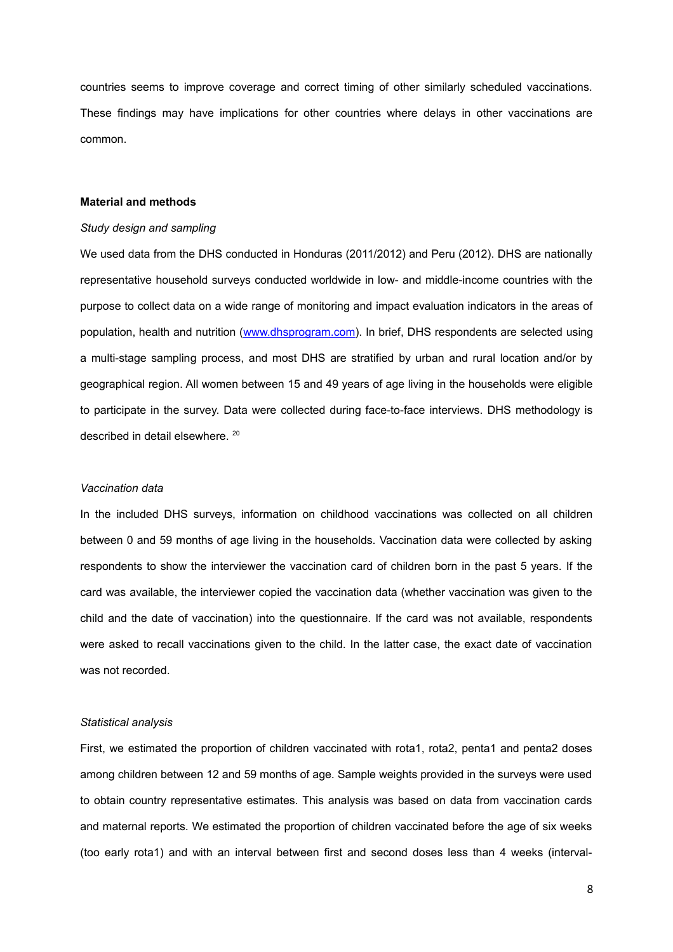countries seems to improve coverage and correct timing of other similarly scheduled vaccinations. These findings may have implications for other countries where delays in other vaccinations are common.

#### **Material and methods**

#### *Study design and sampling*

We used data from the DHS conducted in Honduras (2011/2012) and Peru (2012). DHS are nationally representative household surveys conducted worldwide in low- and middle-income countries with the purpose to collect data on a wide range of monitoring and impact evaluation indicators in the areas of population, health and nutrition [\(www.dhsprogram.com\)](http://www.dhsprogram.com/). In brief, DHS respondents are selected using a multi-stage sampling process, and most DHS are stratified by urban and rural location and/or by geographical region. All women between 15 and 49 years of age living in the households were eligible to participate in the survey. Data were collected during face-to-face interviews. DHS methodology is described in detail elsewhere. <sup>20</sup>

#### *Vaccination data*

In the included DHS surveys, information on childhood vaccinations was collected on all children between 0 and 59 months of age living in the households. Vaccination data were collected by asking respondents to show the interviewer the vaccination card of children born in the past 5 years. If the card was available, the interviewer copied the vaccination data (whether vaccination was given to the child and the date of vaccination) into the questionnaire. If the card was not available, respondents were asked to recall vaccinations given to the child. In the latter case, the exact date of vaccination was not recorded.

#### *Statistical analysis*

First, we estimated the proportion of children vaccinated with rota1, rota2, penta1 and penta2 doses among children between 12 and 59 months of age. Sample weights provided in the surveys were used to obtain country representative estimates. This analysis was based on data from vaccination cards and maternal reports. We estimated the proportion of children vaccinated before the age of six weeks (too early rota1) and with an interval between first and second doses less than 4 weeks (interval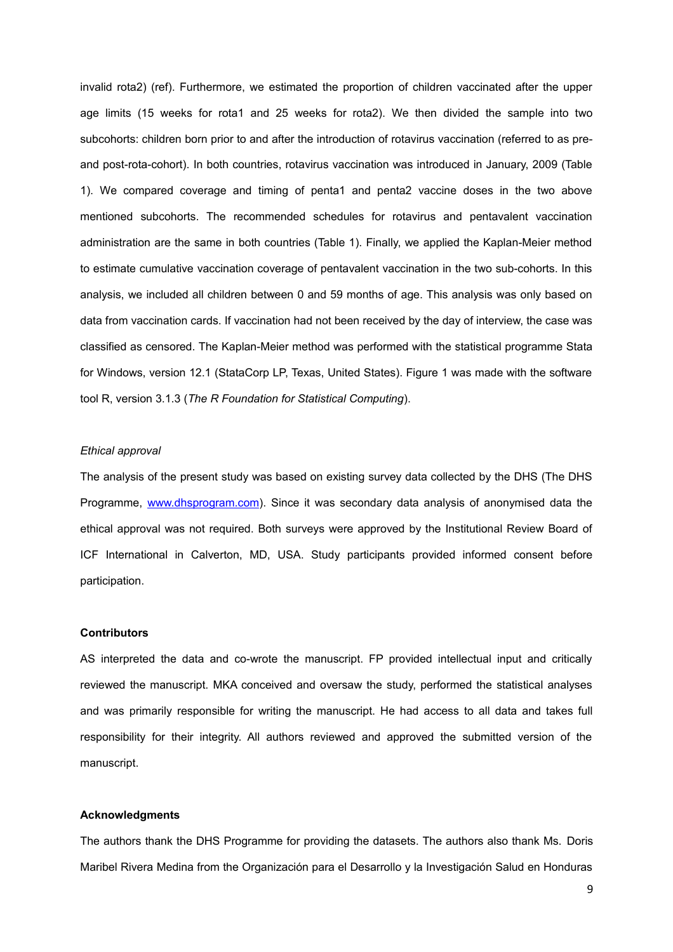invalid rota2) (ref). Furthermore, we estimated the proportion of children vaccinated after the upper age limits (15 weeks for rota1 and 25 weeks for rota2). We then divided the sample into two subcohorts: children born prior to and after the introduction of rotavirus vaccination (referred to as preand post-rota-cohort). In both countries, rotavirus vaccination was introduced in January, 2009 (Table 1). We compared coverage and timing of penta1 and penta2 vaccine doses in the two above mentioned subcohorts. The recommended schedules for rotavirus and pentavalent vaccination administration are the same in both countries (Table 1). Finally, we applied the Kaplan-Meier method to estimate cumulative vaccination coverage of pentavalent vaccination in the two sub-cohorts. In this analysis, we included all children between 0 and 59 months of age. This analysis was only based on data from vaccination cards. If vaccination had not been received by the day of interview, the case was classified as censored. The Kaplan-Meier method was performed with the statistical programme Stata for Windows, version 12.1 (StataCorp LP, Texas, United States). Figure 1 was made with the software tool R, version 3.1.3 (*The R Foundation for Statistical Computing*).

## *Ethical approval*

The analysis of the present study was based on existing survey data collected by the DHS (The DHS Programme, [www.dhsprogram.com\)](http://www.dhsprogram.com/). Since it was secondary data analysis of anonymised data the ethical approval was not required. Both surveys were approved by the Institutional Review Board of ICF International in Calverton, MD, USA. Study participants provided informed consent before participation.

#### **Contributors**

AS interpreted the data and co-wrote the manuscript. FP provided intellectual input and critically reviewed the manuscript. MKA conceived and oversaw the study, performed the statistical analyses and was primarily responsible for writing the manuscript. He had access to all data and takes full responsibility for their integrity. All authors reviewed and approved the submitted version of the manuscript.

#### **Acknowledgments**

The authors thank the DHS Programme for providing the datasets. The authors also thank Ms. Doris Maribel Rivera Medina from the Organización para el Desarrollo y la Investigación Salud en Honduras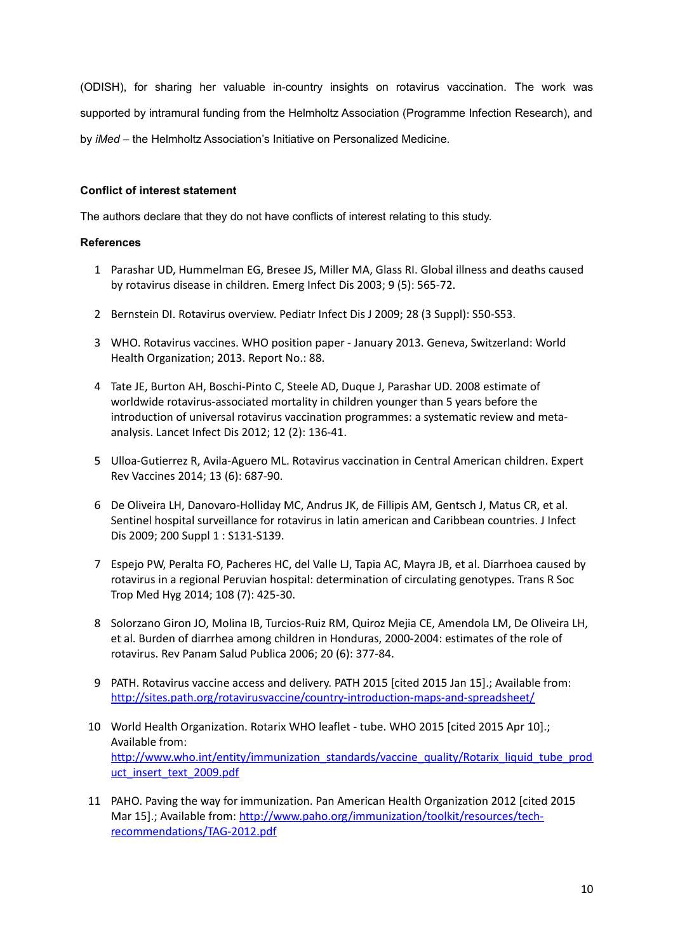(ODISH), for sharing her valuable in-country insights on rotavirus vaccination. The work was supported by intramural funding from the Helmholtz Association (Programme Infection Research), and by *iMed* – the Helmholtz Association's Initiative on Personalized Medicine.

## **Conflict of interest statement**

The authors declare that they do not have conflicts of interest relating to this study.

## **References**

- 1 Parashar UD, Hummelman EG, Bresee JS, Miller MA, Glass RI. Global illness and deaths caused by rotavirus disease in children. Emerg Infect Dis 2003; 9 (5): 565-72.
- 2 Bernstein DI. Rotavirus overview. Pediatr Infect Dis J 2009; 28 (3 Suppl): S50-S53.
- 3 WHO. Rotavirus vaccines. WHO position paper January 2013. Geneva, Switzerland: World Health Organization; 2013. Report No.: 88.
- 4 Tate JE, Burton AH, Boschi-Pinto C, Steele AD, Duque J, Parashar UD. 2008 estimate of worldwide rotavirus-associated mortality in children younger than 5 years before the introduction of universal rotavirus vaccination programmes: a systematic review and metaanalysis. Lancet Infect Dis 2012; 12 (2): 136-41.
- 5 Ulloa-Gutierrez R, Avila-Aguero ML. Rotavirus vaccination in Central American children. Expert Rev Vaccines 2014; 13 (6): 687-90.
- 6 De Oliveira LH, Danovaro-Holliday MC, Andrus JK, de Fillipis AM, Gentsch J, Matus CR, et al. Sentinel hospital surveillance for rotavirus in latin american and Caribbean countries. J Infect Dis 2009; 200 Suppl 1 : S131-S139.
- 7 Espejo PW, Peralta FO, Pacheres HC, del Valle LJ, Tapia AC, Mayra JB, et al. Diarrhoea caused by rotavirus in a regional Peruvian hospital: determination of circulating genotypes. Trans R Soc Trop Med Hyg 2014; 108 (7): 425-30.
- 8 Solorzano Giron JO, Molina IB, Turcios-Ruiz RM, Quiroz Mejia CE, Amendola LM, De Oliveira LH, et al. Burden of diarrhea among children in Honduras, 2000-2004: estimates of the role of rotavirus. Rev Panam Salud Publica 2006; 20 (6): 377-84.
- 9 PATH. Rotavirus vaccine access and delivery. PATH 2015 [cited 2015 Jan 15].; Available from: <http://sites.path.org/rotavirusvaccine/country-introduction-maps-and-spreadsheet/>
- 10 World Health Organization. Rotarix WHO leaflet tube. WHO 2015 [cited 2015 Apr 10].; Available from: [http://www.who.int/entity/immunization\\_standards/vaccine\\_quality/Rotarix\\_liquid\\_tube\\_prod](http://www.who.int/entity/immunization_standards/vaccine_quality/Rotarix_liquid_tube_product_insert_text_2009.pdf) [uct\\_insert\\_text\\_2009.pdf](http://www.who.int/entity/immunization_standards/vaccine_quality/Rotarix_liquid_tube_product_insert_text_2009.pdf)
- 11 PAHO. Paving the way for immunization. Pan American Health Organization 2012 [cited 2015 Mar 15].; Available from: [http://www.paho.org/immunization/toolkit/resources/tech](http://www.paho.org/immunization/toolkit/resources/tech-recommendations/TAG-2012.pdf)[recommendations/TAG-2012.pdf](http://www.paho.org/immunization/toolkit/resources/tech-recommendations/TAG-2012.pdf)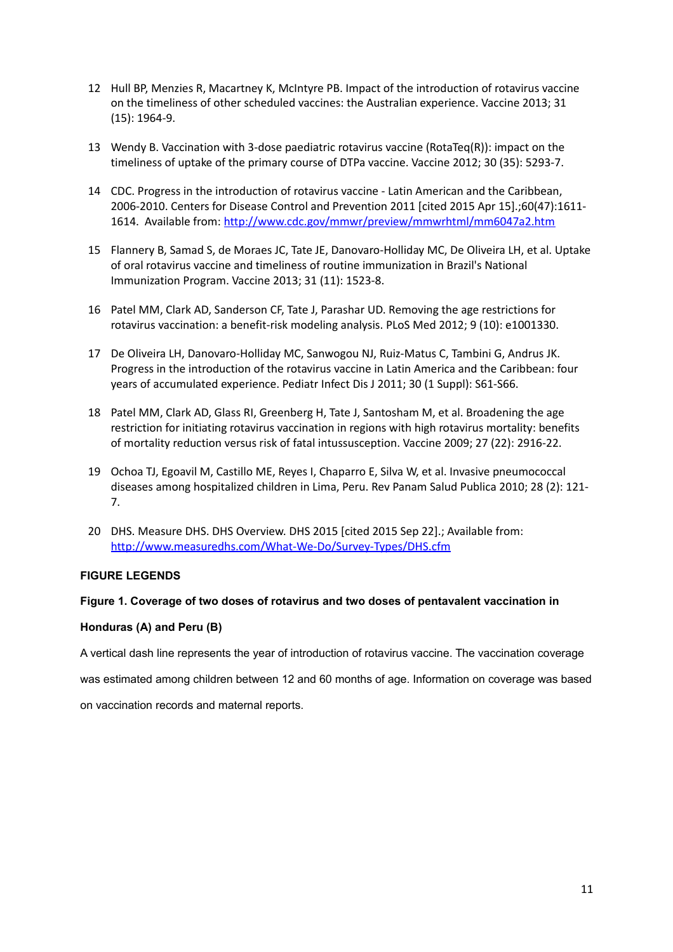- 12 Hull BP, Menzies R, Macartney K, McIntyre PB. Impact of the introduction of rotavirus vaccine on the timeliness of other scheduled vaccines: the Australian experience. Vaccine 2013; 31 (15): 1964-9.
- 13 Wendy B. Vaccination with 3-dose paediatric rotavirus vaccine (RotaTeq(R)): impact on the timeliness of uptake of the primary course of DTPa vaccine. Vaccine 2012; 30 (35): 5293-7.
- 14 CDC. Progress in the introduction of rotavirus vaccine Latin American and the Caribbean, 2006-2010. Centers for Disease Control and Prevention 2011 [cited 2015 Apr 15].;60(47):1611- 1614. Available from:<http://www.cdc.gov/mmwr/preview/mmwrhtml/mm6047a2.htm>
- 15 Flannery B, Samad S, de Moraes JC, Tate JE, Danovaro-Holliday MC, De Oliveira LH, et al. Uptake of oral rotavirus vaccine and timeliness of routine immunization in Brazil's National Immunization Program. Vaccine 2013; 31 (11): 1523-8.
- 16 Patel MM, Clark AD, Sanderson CF, Tate J, Parashar UD. Removing the age restrictions for rotavirus vaccination: a benefit-risk modeling analysis. PLoS Med 2012; 9 (10): e1001330.
- 17 De Oliveira LH, Danovaro-Holliday MC, Sanwogou NJ, Ruiz-Matus C, Tambini G, Andrus JK. Progress in the introduction of the rotavirus vaccine in Latin America and the Caribbean: four years of accumulated experience. Pediatr Infect Dis J 2011; 30 (1 Suppl): S61-S66.
- 18 Patel MM, Clark AD, Glass RI, Greenberg H, Tate J, Santosham M, et al. Broadening the age restriction for initiating rotavirus vaccination in regions with high rotavirus mortality: benefits of mortality reduction versus risk of fatal intussusception. Vaccine 2009; 27 (22): 2916-22.
- 19 Ochoa TJ, Egoavil M, Castillo ME, Reyes I, Chaparro E, Silva W, et al. Invasive pneumococcal diseases among hospitalized children in Lima, Peru. Rev Panam Salud Publica 2010; 28 (2): 121- 7.
- 20 DHS. Measure DHS. DHS Overview. DHS 2015 [cited 2015 Sep 22].; Available from: <http://www.measuredhs.com/What-We-Do/Survey-Types/DHS.cfm>

# **FIGURE LEGENDS**

# **Figure 1. Coverage of two doses of rotavirus and two doses of pentavalent vaccination in**

# **Honduras (A) and Peru (B)**

A vertical dash line represents the year of introduction of rotavirus vaccine. The vaccination coverage

was estimated among children between 12 and 60 months of age. Information on coverage was based

on vaccination records and maternal reports.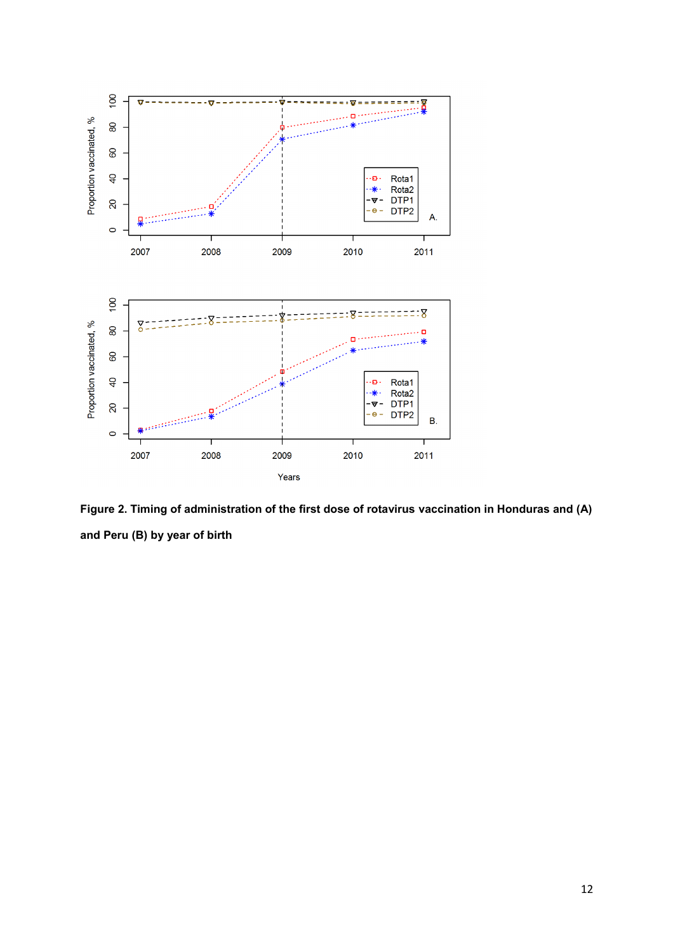

**Figure 2. Timing of administration of the first dose of rotavirus vaccination in Honduras and (A) and Peru (B) by year of birth**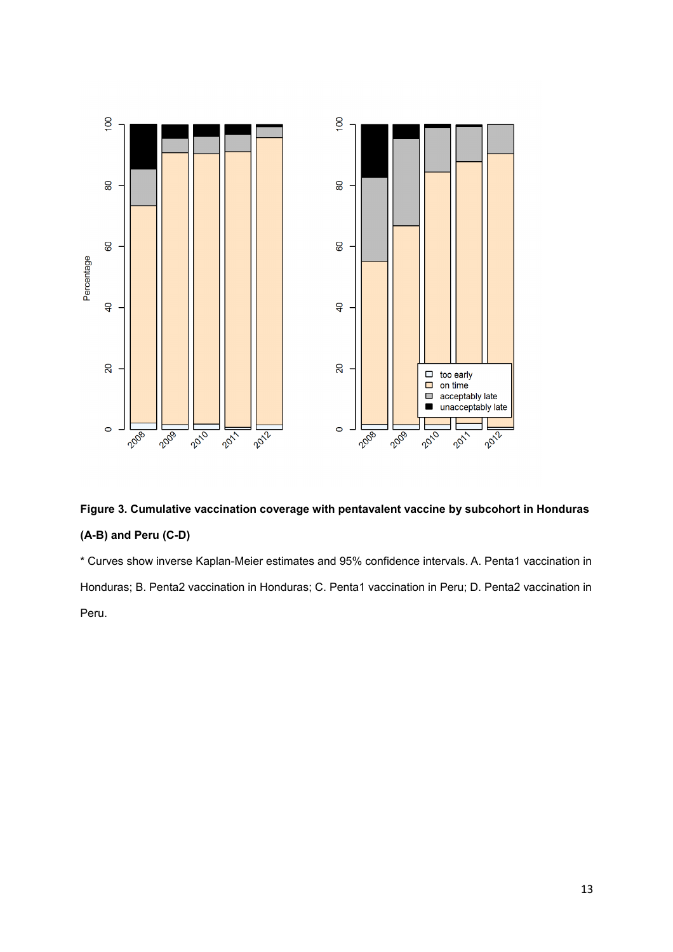

# **Figure 3. Cumulative vaccination coverage with pentavalent vaccine by subcohort in Honduras (A-B) and Peru (C-D)**

\* Curves show inverse Kaplan-Meier estimates and 95% confidence intervals. A. Penta1 vaccination in Honduras; B. Penta2 vaccination in Honduras; C. Penta1 vaccination in Peru; D. Penta2 vaccination in Peru.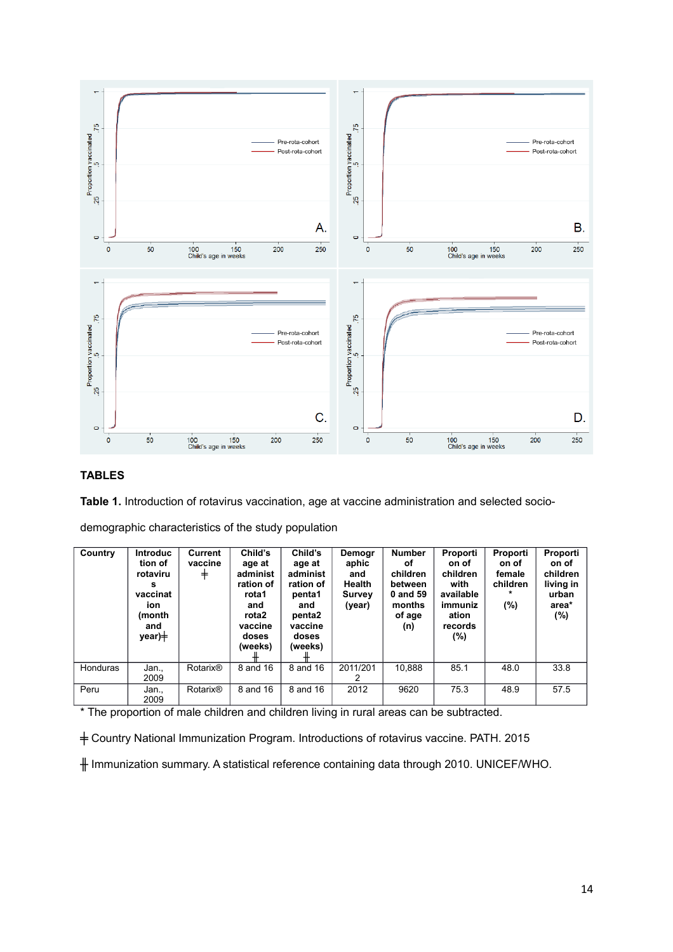

# **TABLES**

**Table 1.** Introduction of rotavirus vaccination, age at vaccine administration and selected socio-

| Country  | <b>Introduc</b><br>tion of<br>rotaviru<br>s<br>vaccinat<br>ion<br>(month<br>and<br>year) $\pm$ | Current<br>vaccine<br>≠ | Child's<br>age at<br>administ<br>ration of<br>rota1<br>and<br>rota2<br>vaccine<br>doses<br>(weeks) | Child's<br>age at<br>administ<br>ration of<br>penta1<br>and<br>penta2<br>vaccine<br>doses<br>(weeks) | Demogr<br>aphic<br>and<br>Health<br>Survey<br>(year) | <b>Number</b><br>οf<br>children<br>between<br>0 and 59<br>months<br>of age<br>(n) | Proporti<br>on of<br>children<br>with<br>available<br>immuniz<br>ation<br>records<br>$(\%)$ | Proporti<br>on of<br>female<br>children<br>$(\% )$ | Proporti<br>on of<br>children<br>living in<br>urban<br>area*<br>$(\% )$ |
|----------|------------------------------------------------------------------------------------------------|-------------------------|----------------------------------------------------------------------------------------------------|------------------------------------------------------------------------------------------------------|------------------------------------------------------|-----------------------------------------------------------------------------------|---------------------------------------------------------------------------------------------|----------------------------------------------------|-------------------------------------------------------------------------|
| Honduras | Jan.,<br>2009                                                                                  | Rotarix <sup>®</sup>    | 8 and 16                                                                                           | 8 and 16                                                                                             | 2011/201                                             | 10.888                                                                            | 85.1                                                                                        | 48.0                                               | 33.8                                                                    |
| Peru     | Jan.,<br>2009                                                                                  | Rotarix <sup>®</sup>    | 8 and 16                                                                                           | 8 and 16                                                                                             | 2012                                                 | 9620                                                                              | 75.3                                                                                        | 48.9                                               | 57.5                                                                    |

demographic characteristics of the study population

\* The proportion of male children and children living in rural areas can be subtracted.

╪ Country National Immunization Program. Introductions of rotavirus vaccine. PATH. 2015

╫ Immunization summary. A statistical reference containing data through 2010. UNICEF/WHO.